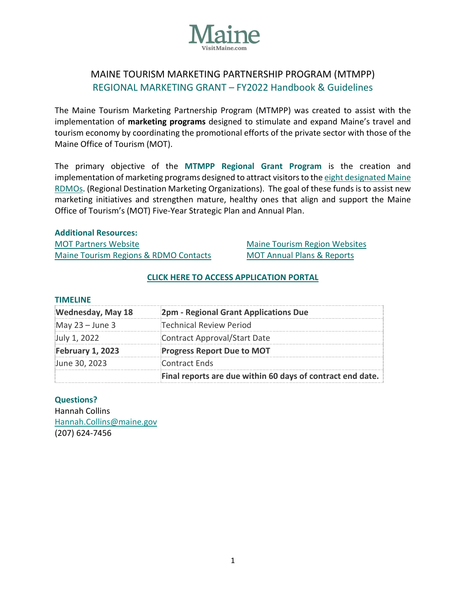

# MAINE TOURISM MARKETING PARTNERSHIP PROGRAM (MTMPP) REGIONAL MARKETING GRANT – FY2022 Handbook & Guidelines

The Maine Tourism Marketing Partnership Program (MTMPP) was created to assist with the implementation of **marketing programs** designed to stimulate and expand Maine's travel and tourism economy by coordinating the promotional efforts of the private sector with those of the Maine Office of Tourism (MOT).

The primary objective of the **MTMPP Regional Grant Program** is the creation and implementation of marketing programs designed to attract visitors to th[e eight designated Maine](https://motpartners.com/partner-organizations/)  [RDMOs.](https://motpartners.com/partner-organizations/) (Regional Destination Marketing Organizations). The goal of these funds is to assist new marketing initiatives and strengthen mature, healthy ones that align and support the Maine Office of Tourism's (MOT) Five-Year Strategic Plan and Annual Plan.

#### **Additional Resources:**

| <b>MOT Partners Website</b>           |
|---------------------------------------|
| Maine Tourism Regions & RDMO Contacts |

[Maine Tourism Region Websites](https://motpartners.com/web-links/) [MOT Annual Plans & Reports](https://motpartners.com/additional-resources/plans-reports/)

#### **[CLICK HERE TO ACCESS APPLICATION PORTAL](https://stateofmaine.force.com/DECDMAINE/s/funding-requests)**

#### **TIMELINE**

| <b>Wednesday, May 18</b> | 2pm - Regional Grant Applications Due                      |
|--------------------------|------------------------------------------------------------|
| May $23 -$ June 3        | Technical Review Period                                    |
| July 1, 2022             | Contract Approval/Start Date                               |
| February 1, 2023         | <b>Progress Report Due to MOT</b>                          |
| June 30, 2023            | Contract Ends                                              |
|                          | Final reports are due within 60 days of contract end date. |

#### **Questions?**

Hannah Collins [Hannah.Collins@maine.gov](mailto:Hannah.Collins@maine.gov) (207) 624-7456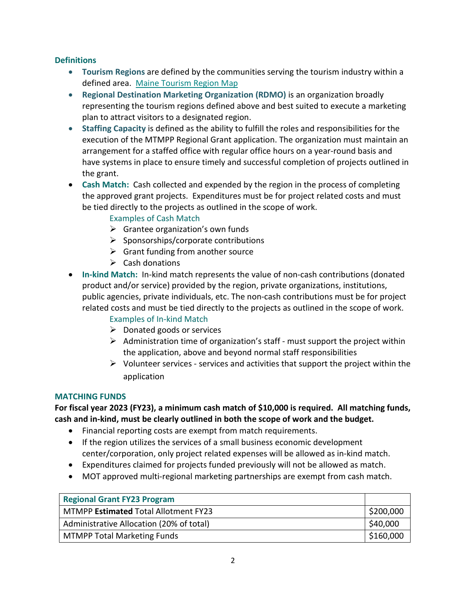## **Definitions**

- **Tourism Regions** are defined by the communities serving the tourism industry within a defined area. [Maine Tourism Region Map](https://motpartners.com/wp-content/uploads/2021/03/Maine_Regions.pdf)
- **Regional Destination Marketing Organization (RDMO)** is an organization broadly representing the tourism regions defined above and best suited to execute a marketing plan to attract visitors to a designated region.
- **Staffing Capacity** is defined as the ability to fulfill the roles and responsibilities for the execution of the MTMPP Regional Grant application. The organization must maintain an arrangement for a staffed office with regular office hours on a year-round basis and have systems in place to ensure timely and successful completion of projects outlined in the grant.
- **Cash Match:** Cash collected and expended by the region in the process of completing the approved grant projects. Expenditures must be for project related costs and must be tied directly to the projects as outlined in the scope of work.

# Examples of Cash Match

- $\triangleright$  Grantee organization's own funds
- $\triangleright$  Sponsorships/corporate contributions
- $\triangleright$  Grant funding from another source
- $\triangleright$  Cash donations
- **In-kind Match:** In-kind match represents the value of non-cash contributions (donated product and/or service) provided by the region, private organizations, institutions, public agencies, private individuals, etc. The non-cash contributions must be for project related costs and must be tied directly to the projects as outlined in the scope of work.

# Examples of In-kind Match

- $\triangleright$  Donated goods or services
- $\triangleright$  Administration time of organization's staff must support the project within the application, above and beyond normal staff responsibilities
- $\triangleright$  Volunteer services services and activities that support the project within the application

#### **MATCHING FUNDS**

**For fiscal year 2023 (FY23), a minimum cash match of \$10,000 is required. All matching funds, cash and in-kind, must be clearly outlined in both the scope of work and the budget.**

- Financial reporting costs are exempt from match requirements.
- If the region utilizes the services of a small business economic development center/corporation, only project related expenses will be allowed as in-kind match.
- Expenditures claimed for projects funded previously will not be allowed as match.
- MOT approved multi-regional marketing partnerships are exempt from cash match.

| <b>Regional Grant FY23 Program</b>          |           |
|---------------------------------------------|-----------|
| MTMPP <b>Estimated</b> Total Allotment FY23 | \$200,000 |
| Administrative Allocation (20% of total)    |           |
| <b>MTMPP Total Marketing Funds</b>          | \$160,000 |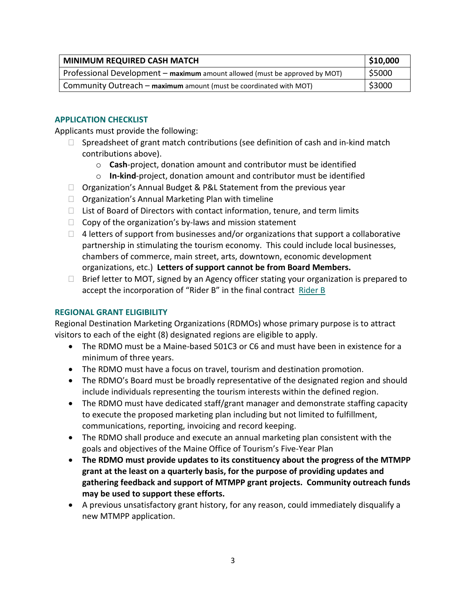| \$10,000<br><b>MINIMUM REQUIRED CASH MATCH</b>                              |        |
|-----------------------------------------------------------------------------|--------|
| Professional Development – maximum amount allowed (must be approved by MOT) |        |
| Community Outreach - maximum amount (must be coordinated with MOT)          | \$3000 |

## **APPLICATION CHECKLIST**

Applicants must provide the following:

- $\Box$  Spreadsheet of grant match contributions (see definition of cash and in-kind match contributions above).
	- o **Cash**-project, donation amount and contributor must be identified
	- o **In-kind**-project, donation amount and contributor must be identified
- □ Organization's Annual Budget & P&L Statement from the previous year
- $\Box$  Organization's Annual Marketing Plan with timeline
- $\Box$  List of Board of Directors with contact information, tenure, and term limits
- $\Box$  Copy of the organization's by-laws and mission statement
- $\Box$  4 letters of support from businesses and/or organizations that support a collaborative partnership in stimulating the tourism economy. This could include local businesses, chambers of commerce, main street, arts, downtown, economic development organizations, etc.) **Letters of support cannot be from Board Members.**
- $\Box$  Brief letter to MOT, signed by an Agency officer stating your organization is prepared to accept the incorporation of "Rider B" in the final contract [Rider B](https://motpartners.com/wp-content/uploads/2021/02/RiderB-Contract-FY22-1.pdf)

# **REGIONAL GRANT ELIGIBILITY**

Regional Destination Marketing Organizations (RDMOs) whose primary purpose is to attract visitors to each of the eight (8) designated regions are eligible to apply.

- The RDMO must be a Maine-based 501C3 or C6 and must have been in existence for a minimum of three years.
- The RDMO must have a focus on travel, tourism and destination promotion.
- The RDMO's Board must be broadly representative of the designated region and should include individuals representing the tourism interests within the defined region.
- The RDMO must have dedicated staff/grant manager and demonstrate staffing capacity to execute the proposed marketing plan including but not limited to fulfillment, communications, reporting, invoicing and record keeping.
- The RDMO shall produce and execute an annual marketing plan consistent with the goals and objectives of the Maine Office of Tourism's Five-Year Plan
- **The RDMO must provide updates to its constituency about the progress of the MTMPP grant at the least on a quarterly basis, for the purpose of providing updates and gathering feedback and support of MTMPP grant projects. Community outreach funds may be used to support these efforts.**
- A previous unsatisfactory grant history, for any reason, could immediately disqualify a new MTMPP application.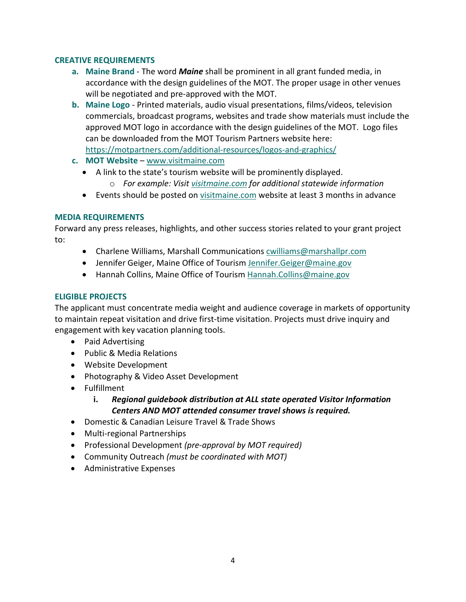#### **CREATIVE REQUIREMENTS**

- **a. Maine Brand** The word *Maine* shall be prominent in all grant funded media, in accordance with the design guidelines of the MOT. The proper usage in other venues will be negotiated and pre-approved with the MOT.
- **b. Maine Logo** Printed materials, audio visual presentations, films/videos, television commercials, broadcast programs, websites and trade show materials must include the approved MOT logo in accordance with the design guidelines of the MOT. Logo files can be downloaded from the MOT Tourism Partners website here:
- <https://motpartners.com/additional-resources/logos-and-graphics/>
- **c. MOT Website** – [www.visitmaine.com](http://www.visitmaine.com/)
	- A link to the state's tourism website will be prominently displayed.
		- o *For example: Visit [visitmaine.com](https://visitmaine.com/) for additional statewide information*
	- Events should be posted on [visitmaine.com](https://visitmaine.com/) website at least 3 months in advance

### **MEDIA REQUIREMENTS**

Forward any press releases, highlights, and other success stories related to your grant project to:

- Charlene Williams, Marshall Communications [cwilliams@marshallpr.com](mailto:cwilliams@marshallpr.com)
- Jennifer Geiger, Maine Office of Tourism Jennifer. Geiger@maine.gov
- Hannah Collins, Maine Office of Tourism [Hannah.Collins@maine.gov](mailto:Hannah.Collins@maine.gov)

# **ELIGIBLE PROJECTS**

The applicant must concentrate media weight and audience coverage in markets of opportunity to maintain repeat visitation and drive first-time visitation. Projects must drive inquiry and engagement with key vacation planning tools.

- Paid Advertising
- Public & Media Relations
- Website Development
- Photography & Video Asset Development
- Fulfillment
	- **i.** *Regional guidebook distribution at ALL state operated Visitor Information Centers AND MOT attended consumer travel shows is required.*
- Domestic & Canadian Leisure Travel & Trade Shows
- Multi-regional Partnerships
- Professional Development *(pre-approval by MOT required)*
- Community Outreach *(must be coordinated with MOT)*
- Administrative Expenses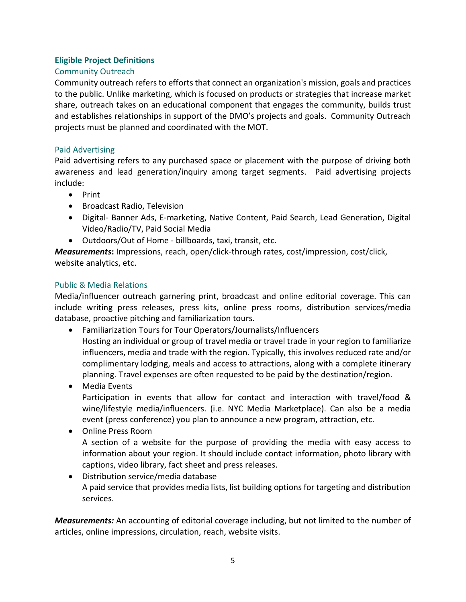### **Eligible Project Definitions**

### Community Outreach

Community outreach refers to efforts that connect an organization's mission, goals and practices to the public. Unlike marketing, which is focused on products or strategies that increase market share, outreach takes on an educational component that engages the community, builds trust and establishes relationships in support of the DMO's projects and goals. Community Outreach projects must be planned and coordinated with the MOT.

### Paid Advertising

Paid advertising refers to any purchased space or placement with the purpose of driving both awareness and lead generation/inquiry among target segments. Paid advertising projects include:

- Print
- Broadcast Radio, Television
- Digital- Banner Ads, E-marketing, Native Content, Paid Search, Lead Generation, Digital Video/Radio/TV, Paid Social Media
- Outdoors/Out of Home billboards, taxi, transit, etc.

*Measurements***:** Impressions, reach, open/click-through rates, cost/impression, cost/click, website analytics, etc.

# Public & Media Relations

Media/influencer outreach garnering print, broadcast and online editorial coverage. This can include writing press releases, press kits, online press rooms, distribution services/media database, proactive pitching and familiarization tours.

- Familiarization Tours for Tour Operators/Journalists/Influencers Hosting an individual or group of travel media or travel trade in your region to familiarize influencers, media and trade with the region. Typically, this involves reduced rate and/or complimentary lodging, meals and access to attractions, along with a complete itinerary planning. Travel expenses are often requested to be paid by the destination/region.
- Media Events Participation in events that allow for contact and interaction with travel/food & wine/lifestyle media/influencers. (i.e. NYC Media Marketplace). Can also be a media event (press conference) you plan to announce a new program, attraction, etc.
- Online Press Room

A section of a website for the purpose of providing the media with easy access to information about your region. It should include contact information, photo library with captions, video library, fact sheet and press releases.

• Distribution service/media database A paid service that provides media lists, list building options for targeting and distribution services.

*Measurements:* An accounting of editorial coverage including, but not limited to the number of articles, online impressions, circulation, reach, website visits.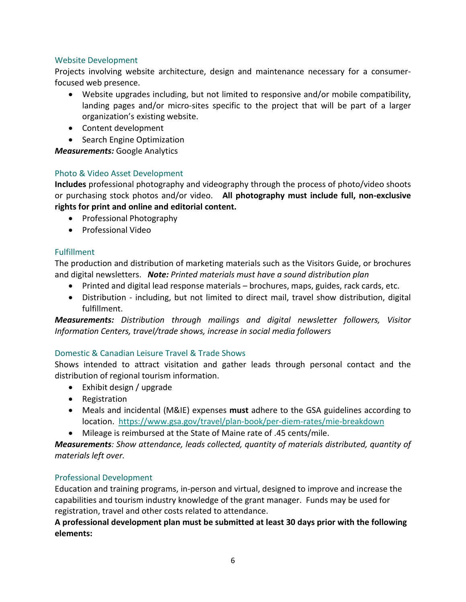# Website Development

Projects involving website architecture, design and maintenance necessary for a consumerfocused web presence.

- Website upgrades including, but not limited to responsive and/or mobile compatibility, landing pages and/or micro-sites specific to the project that will be part of a larger organization's existing website.
- Content development
- Search Engine Optimization

*Measurements:* Google Analytics

# Photo & Video Asset Development

**Includes** professional photography and videography through the process of photo/video shoots or purchasing stock photos and/or video. **All photography must include full, non-exclusive rights for print and online and editorial content.**

- Professional Photography
- Professional Video

# Fulfillment

The production and distribution of marketing materials such as the Visitors Guide, or brochures and digital newsletters. *Note: Printed materials must have a sound distribution plan*

- Printed and digital lead response materials brochures, maps, guides, rack cards, etc.
- Distribution including, but not limited to direct mail, travel show distribution, digital fulfillment.

*Measurements: Distribution through mailings and digital newsletter followers, Visitor Information Centers, travel/trade shows, increase in social media followers*

# Domestic & Canadian Leisure Travel & Trade Shows

Shows intended to attract visitation and gather leads through personal contact and the distribution of regional tourism information.

- Exhibit design / upgrade
- Registration
- Meals and incidental (M&IE) expenses **must** adhere to the GSA guidelines according to location. <https://www.gsa.gov/travel/plan-book/per-diem-rates/mie-breakdown>
- Mileage is reimbursed at the State of Maine rate of .45 cents/mile.

*Measurements: Show attendance, leads collected, quantity of materials distributed, quantity of materials left over.* 

# Professional Development

Education and training programs, in-person and virtual, designed to improve and increase the capabilities and tourism industry knowledge of the grant manager. Funds may be used for registration, travel and other costs related to attendance.

**A professional development plan must be submitted at least 30 days prior with the following elements:**